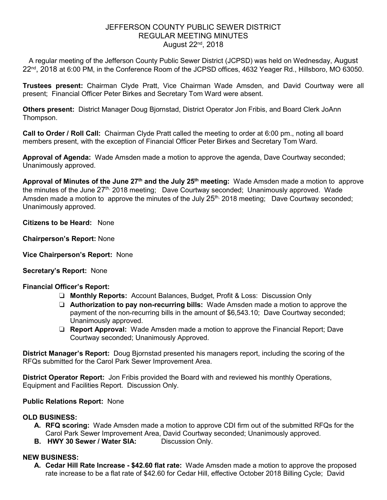## JEFFERSON COUNTY PUBLIC SEWER DISTRICT REGULAR MEETING MINUTES August 22nd, 2018

A regular meeting of the Jefferson County Public Sewer District (JCPSD) was held on Wednesday, August 22<sup>nd</sup>, 2018 at 6:00 PM, in the Conference Room of the JCPSD offices, 4632 Yeager Rd., Hillsboro, MO 63050.

**Trustees present:** Chairman Clyde Pratt, Vice Chairman Wade Amsden, and David Courtway were all present; Financial Officer Peter Birkes and Secretary Tom Ward were absent.

**Others present:** District Manager Doug Bjornstad, District Operator Jon Fribis, and Board Clerk JoAnn Thompson.

**Call to Order / Roll Call:** Chairman Clyde Pratt called the meeting to order at 6:00 pm., noting all board members present, with the exception of Financial Officer Peter Birkes and Secretary Tom Ward.

**Approval of Agenda:** Wade Amsden made a motion to approve the agenda, Dave Courtway seconded; Unanimously approved.

**Approval of Minutes of the June 27th and the July 25th meeting:** Wade Amsden made a motion to approve the minutes of the June  $27<sup>th</sup>$ , 2018 meeting; Dave Courtway seconded; Unanimously approved. Wade Amsden made a motion to approve the minutes of the July 25<sup>th,</sup> 2018 meeting; Dave Courtway seconded; Unanimously approved.

**Citizens to be Heard:** None

**Chairperson's Report:** None

**Vice Chairperson's Report:** None

#### **Secretary's Report:** None

### **Financial Officer's Report:**

- ❏ **Monthly Reports:** Account Balances, Budget, Profit & Loss: Discussion Only
- ❏ **Authorization to pay non-recurring bills:** Wade Amsden made a motion to approve the payment of the non-recurring bills in the amount of \$6,543.10; Dave Courtway seconded; Unanimously approved.
- ❏ **Report Approval:** Wade Amsden made a motion to approve the Financial Report; Dave Courtway seconded; Unanimously Approved.

**District Manager's Report:** Doug Bjornstad presented his managers report, including the scoring of the RFQs submitted for the Carol Park Sewer Improvement Area.

**District Operator Report:** Jon Fribis provided the Board with and reviewed his monthly Operations, Equipment and Facilities Report. Discussion Only.

### **Public Relations Report:** None

### **OLD BUSINESS:**

- **A. RFQ scoring:** Wade Amsden made a motion to approve CDI firm out of the submitted RFQs for the Carol Park Sewer Improvement Area, David Courtway seconded; Unanimously approved.
- **B. HWY 30 Sewer / Water SIA:** Discussion Only.

#### **NEW BUSINESS:**

**A. Cedar Hill Rate Increase - \$42.60 flat rate:** Wade Amsden made a motion to approve the proposed rate increase to be a flat rate of \$42.60 for Cedar Hill, effective October 2018 Billing Cycle; David